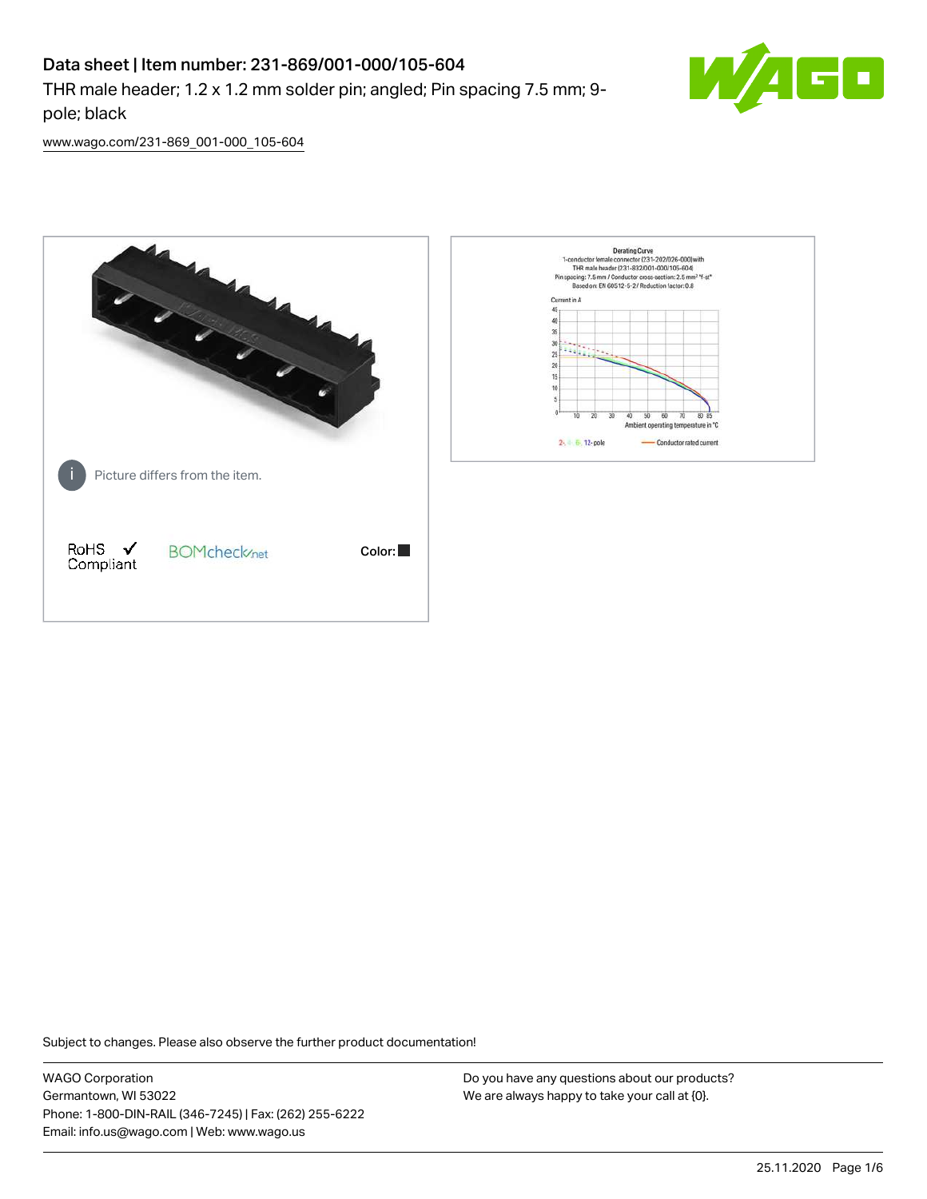## Data sheet | Item number: 231-869/001-000/105-604

THR male header; 1.2 x 1.2 mm solder pin; angled; Pin spacing 7.5 mm; 9 pole; black



[www.wago.com/231-869\\_001-000\\_105-604](http://www.wago.com/231-869_001-000_105-604)



Subject to changes. Please also observe the further product documentation!

WAGO Corporation Germantown, WI 53022 Phone: 1-800-DIN-RAIL (346-7245) | Fax: (262) 255-6222 Email: info.us@wago.com | Web: www.wago.us

Do you have any questions about our products? We are always happy to take your call at {0}.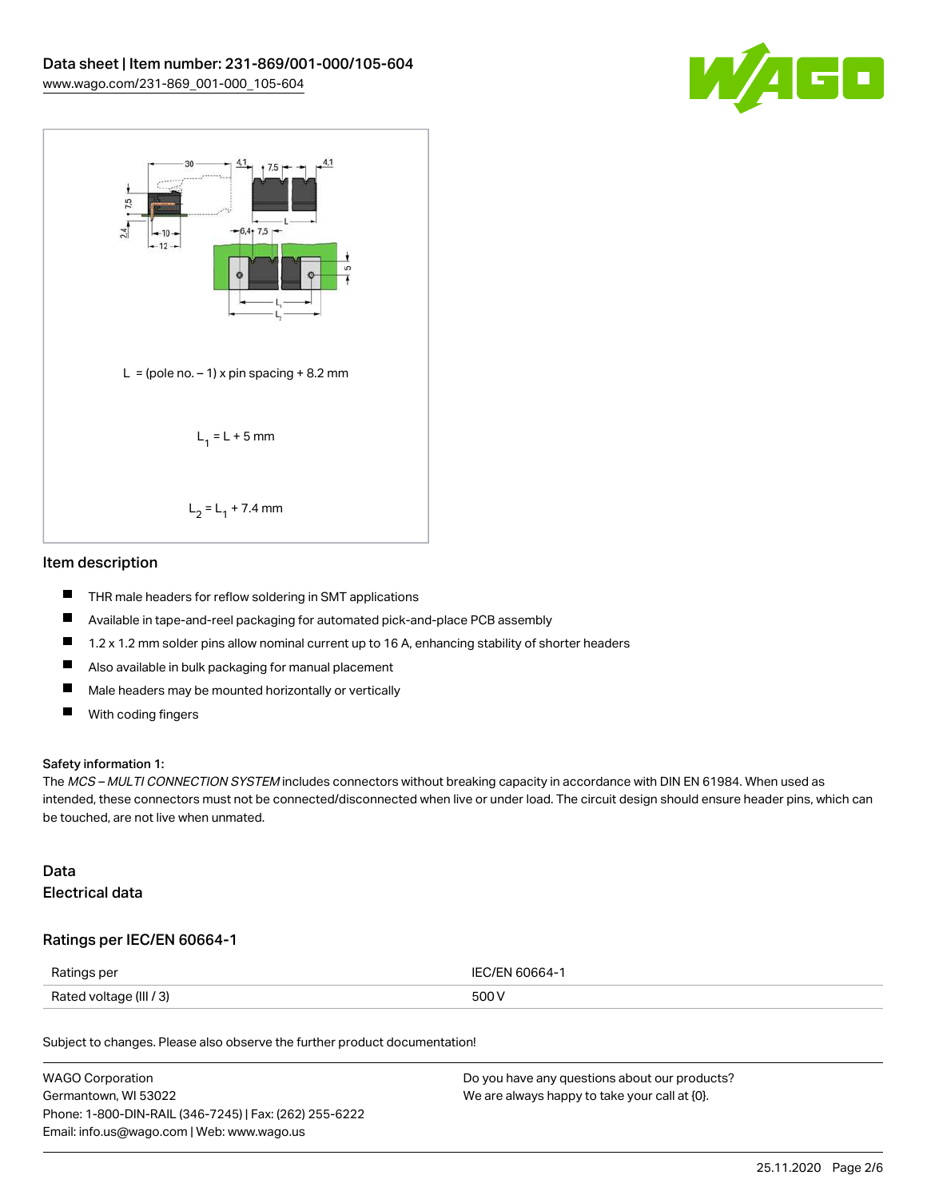



#### Item description

- $\blacksquare$ THR male headers for reflow soldering in SMT applications
- $\blacksquare$ Available in tape-and-reel packaging for automated pick-and-place PCB assembly
- $\blacksquare$ 1.2 x 1.2 mm solder pins allow nominal current up to 16 A, enhancing stability of shorter headers
- $\blacksquare$ Also available in bulk packaging for manual placement
- $\blacksquare$ Male headers may be mounted horizontally or vertically
- $\blacksquare$ With coding fingers

#### Safety information 1:

The MCS – MULTI CONNECTION SYSTEM includes connectors without breaking capacity in accordance with DIN EN 61984. When used as intended, these connectors must not be connected/disconnected when live or under load. The circuit design should ensure header pins, which can be touched, are not live when unmated.

#### Data Electrical data

#### Ratings per IEC/EN 60664-1

| Ratings per             | IFC/FN 60664-1 |
|-------------------------|----------------|
| Rated voltage (III / 3) | 500 V          |

Subject to changes. Please also observe the further product documentation!

| <b>WAGO Corporation</b>                                | Do you have any questions about our products? |
|--------------------------------------------------------|-----------------------------------------------|
| Germantown, WI 53022                                   | We are always happy to take your call at {0}. |
| Phone: 1-800-DIN-RAIL (346-7245)   Fax: (262) 255-6222 |                                               |
| Email: info.us@wago.com   Web: www.wago.us             |                                               |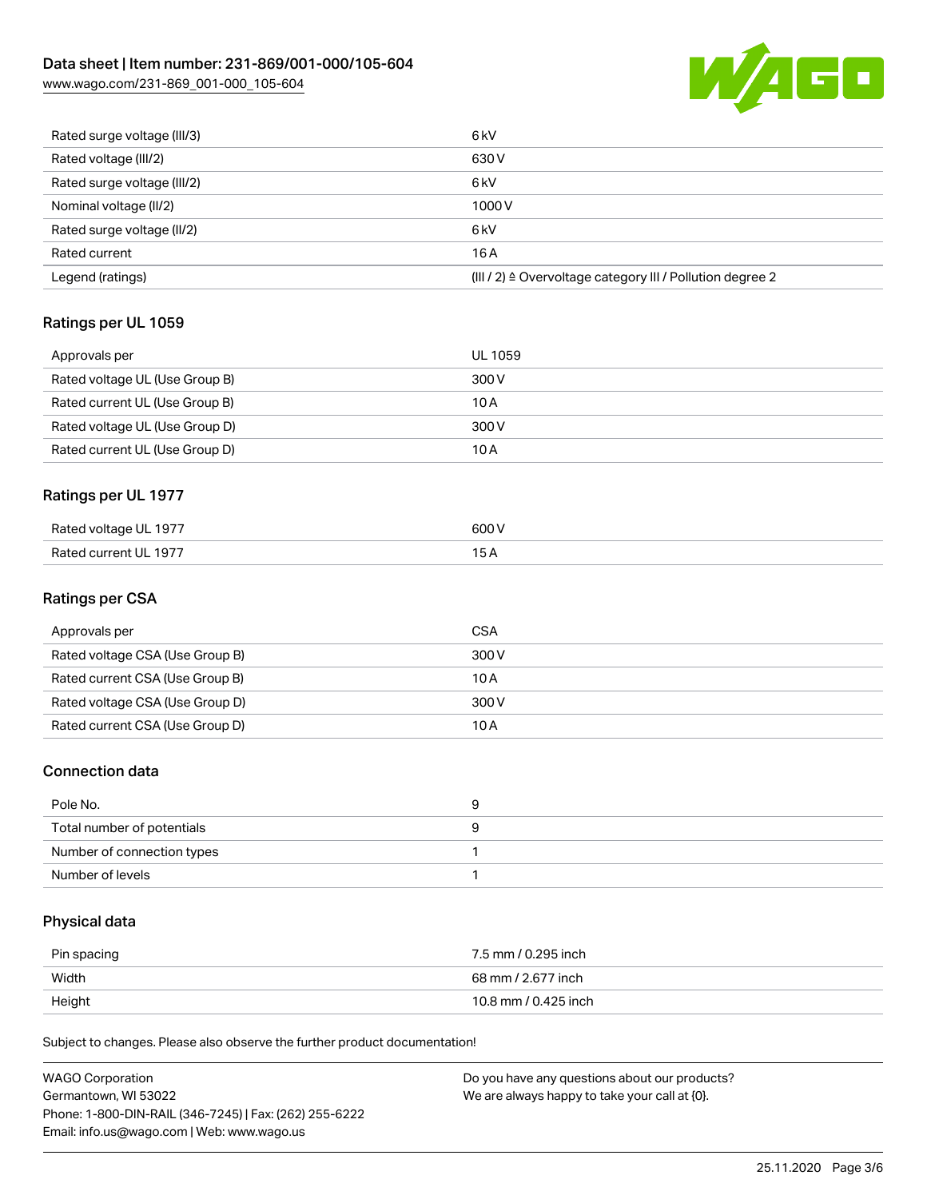# Data sheet | Item number: 231-869/001-000/105-604

[www.wago.com/231-869\\_001-000\\_105-604](http://www.wago.com/231-869_001-000_105-604)



| Rated surge voltage (III/3) | 6 <sub>kV</sub>                                                       |
|-----------------------------|-----------------------------------------------------------------------|
| Rated voltage (III/2)       | 630 V                                                                 |
| Rated surge voltage (III/2) | 6 <sub>k</sub> V                                                      |
| Nominal voltage (II/2)      | 1000V                                                                 |
| Rated surge voltage (II/2)  | 6 <sub>k</sub> V                                                      |
| Rated current               | 16A                                                                   |
| Legend (ratings)            | $(III / 2)$ $\triangle$ Overvoltage category III / Pollution degree 2 |

## Ratings per UL 1059

| Approvals per                  | UL 1059 |
|--------------------------------|---------|
| Rated voltage UL (Use Group B) | 300 V   |
| Rated current UL (Use Group B) | 10 A    |
| Rated voltage UL (Use Group D) | 300 V   |
| Rated current UL (Use Group D) | 10 A    |

## Ratings per UL 1977

| Rated voltage UL 1977 | 600 V |
|-----------------------|-------|
| Rated current UL 1977 | ∽     |

#### Ratings per CSA

| Approvals per                   | CSA   |
|---------------------------------|-------|
| Rated voltage CSA (Use Group B) | 300 V |
| Rated current CSA (Use Group B) | 10 A  |
| Rated voltage CSA (Use Group D) | 300 V |
| Rated current CSA (Use Group D) | 10 A  |

## Connection data

| Pole No.                   |  |
|----------------------------|--|
| Total number of potentials |  |
| Number of connection types |  |
| Number of levels           |  |

## Physical data

| Pin spacing | 7.5 mm / 0.295 inch  |
|-------------|----------------------|
| Width       | 68 mm / 2.677 inch   |
| Height      | 10.8 mm / 0.425 inch |

Subject to changes. Please also observe the further product documentation!

| WAGO Corporation                                       | Do you have any questions about our products? |
|--------------------------------------------------------|-----------------------------------------------|
| Germantown, WI 53022                                   | We are always happy to take your call at {0}. |
| Phone: 1-800-DIN-RAIL (346-7245)   Fax: (262) 255-6222 |                                               |
| Email: info.us@wago.com   Web: www.wago.us             |                                               |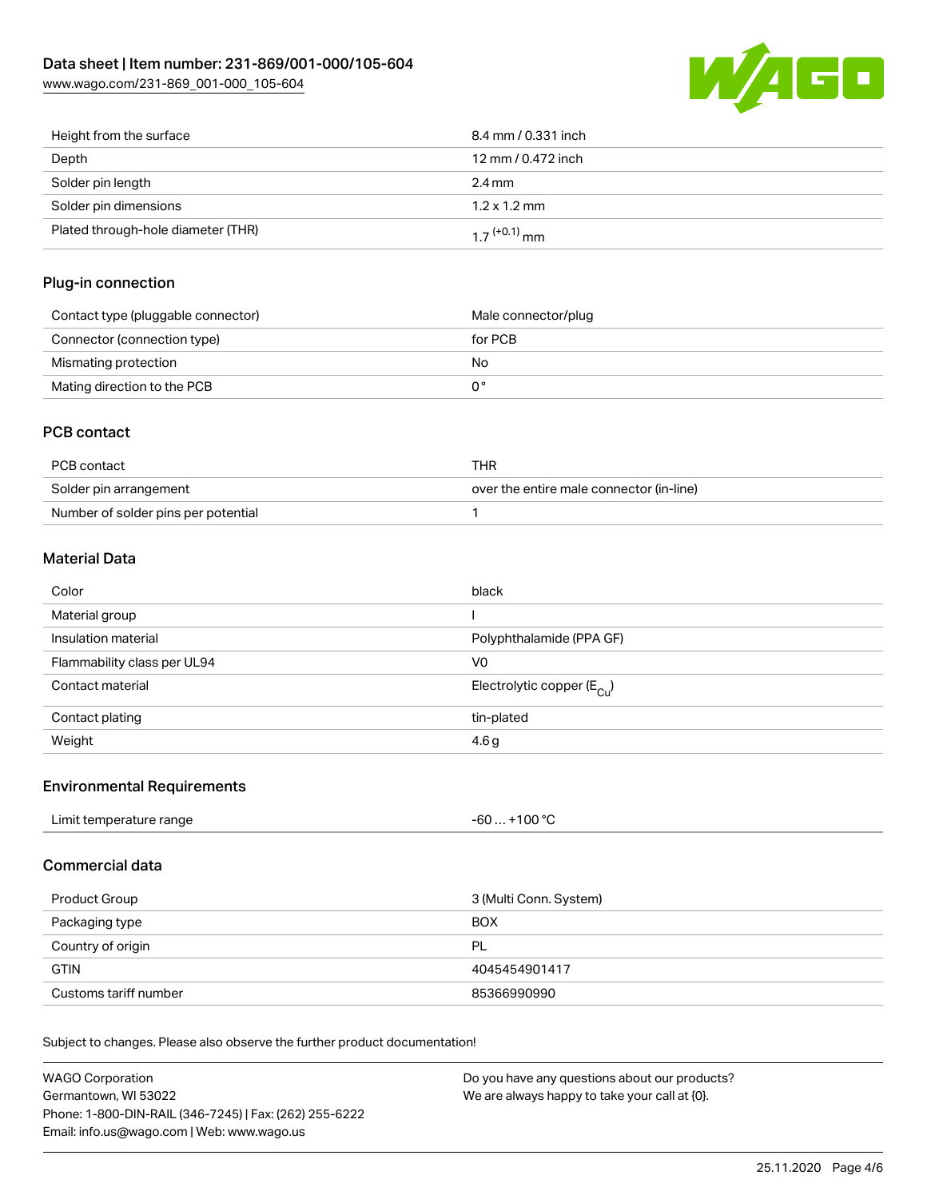

| Height from the surface            | 8.4 mm / 0.331 inch        |
|------------------------------------|----------------------------|
| Depth                              | 12 mm / 0.472 inch         |
| Solder pin length                  | $2.4 \text{ mm}$           |
| Solder pin dimensions              | $1.2 \times 1.2$ mm        |
| Plated through-hole diameter (THR) | $1.7$ <sup>(+0.1)</sup> mm |

#### Plug-in connection

| Contact type (pluggable connector) | Male connector/plug |
|------------------------------------|---------------------|
| Connector (connection type)        | for PCB             |
| Mismating protection               | No                  |
| Mating direction to the PCB        |                     |

## PCB contact

| PCB contact                         | THR                                      |
|-------------------------------------|------------------------------------------|
| Solder pin arrangement              | over the entire male connector (in-line) |
| Number of solder pins per potential |                                          |

## Material Data

| Color                       | black                                 |
|-----------------------------|---------------------------------------|
| Material group              |                                       |
| Insulation material         | Polyphthalamide (PPA GF)              |
| Flammability class per UL94 | V0                                    |
| Contact material            | Electrolytic copper $(E_{\text{Cl}})$ |
| Contact plating             | tin-plated                            |
| Weight                      | 4.6 <sub>g</sub>                      |

#### Environmental Requirements

| Limit temperature range | . +100 °C |
|-------------------------|-----------|
|                         | -60       |
|                         |           |

### Commercial data

| Product Group         | 3 (Multi Conn. System) |
|-----------------------|------------------------|
| Packaging type        | <b>BOX</b>             |
| Country of origin     | PL                     |
| <b>GTIN</b>           | 4045454901417          |
| Customs tariff number | 85366990990            |

Subject to changes. Please also observe the further product documentation!

| WAGO Corporation                                       | Do you have any questions about our products? |
|--------------------------------------------------------|-----------------------------------------------|
| Germantown, WI 53022                                   | We are always happy to take your call at {0}. |
| Phone: 1-800-DIN-RAIL (346-7245)   Fax: (262) 255-6222 |                                               |
| Email: info.us@wago.com   Web: www.wago.us             |                                               |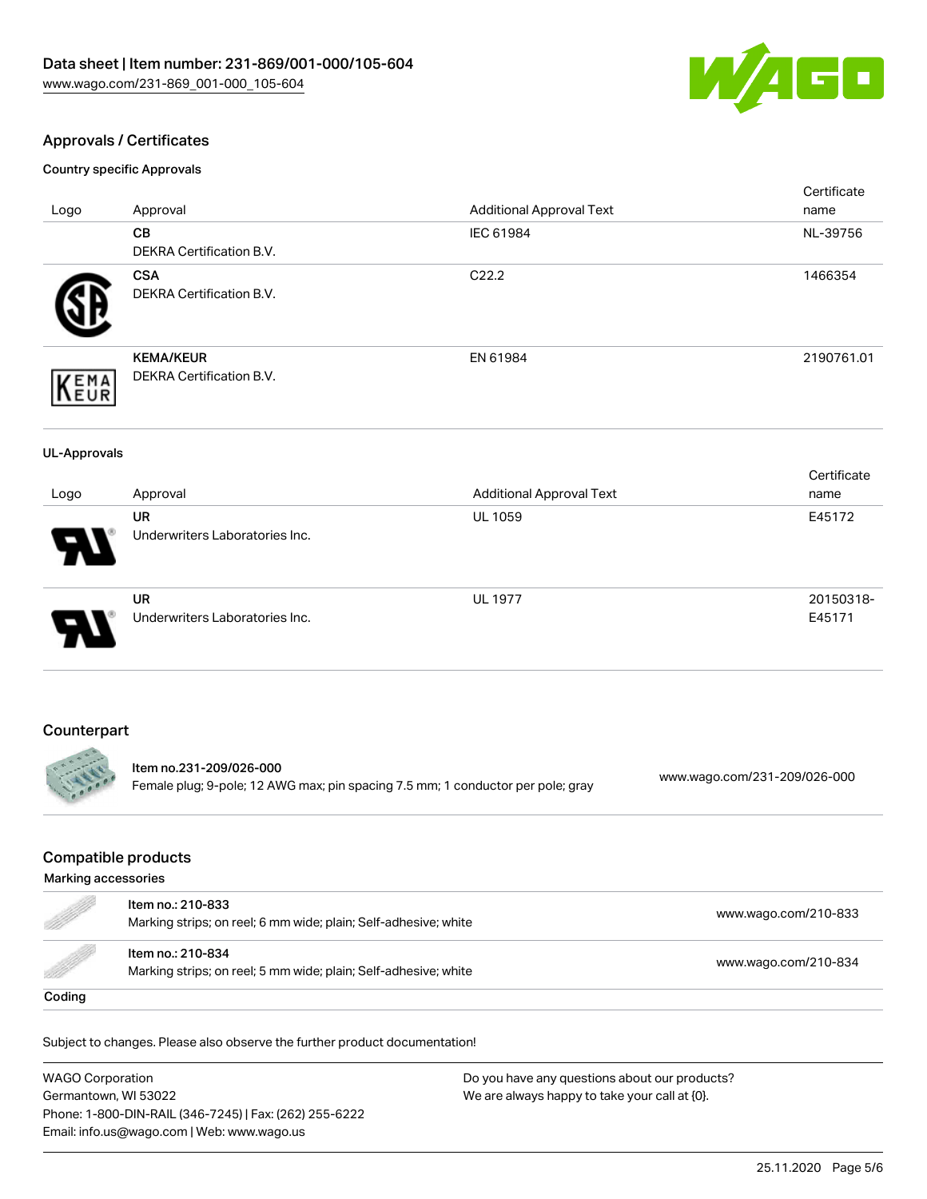

## Approvals / Certificates

Country specific Approvals

|                     |                                                                                                            | <b>Additional Approval Text</b> | Certificate<br>name          |
|---------------------|------------------------------------------------------------------------------------------------------------|---------------------------------|------------------------------|
| Logo                | Approval<br><b>CB</b>                                                                                      | IEC 61984                       | NL-39756                     |
|                     | <b>DEKRA Certification B.V.</b>                                                                            |                                 |                              |
|                     | <b>CSA</b>                                                                                                 | C22.2                           | 1466354                      |
|                     | DEKRA Certification B.V.                                                                                   |                                 |                              |
|                     | <b>KEMA/KEUR</b>                                                                                           | EN 61984                        | 2190761.01                   |
| <b>YEMA</b><br>LEUR | DEKRA Certification B.V.                                                                                   |                                 |                              |
|                     |                                                                                                            |                                 |                              |
| <b>UL-Approvals</b> |                                                                                                            |                                 |                              |
|                     | Approval                                                                                                   | <b>Additional Approval Text</b> | Certificate<br>name          |
| Logo                | <b>UR</b>                                                                                                  | <b>UL 1059</b>                  | E45172                       |
|                     | Underwriters Laboratories Inc.                                                                             |                                 |                              |
|                     | <b>UR</b>                                                                                                  | <b>UL 1977</b>                  | 20150318-                    |
|                     | Underwriters Laboratories Inc.                                                                             |                                 | E45171                       |
|                     |                                                                                                            |                                 |                              |
| Counterpart         |                                                                                                            |                                 |                              |
|                     | Item no.231-209/026-000<br>Female plug; 9-pole; 12 AWG max; pin spacing 7.5 mm; 1 conductor per pole; gray |                                 | www.wago.com/231-209/026-000 |

## Compatible products

| Marking accessories                                                                                                                                                                                                                  |                                                                                      |                      |
|--------------------------------------------------------------------------------------------------------------------------------------------------------------------------------------------------------------------------------------|--------------------------------------------------------------------------------------|----------------------|
| e de la completa de la completa de la completa de la completa de la completa de la completa de la completa de<br>La completa de la completa de la completa de la completa de la completa de la completa de la completa de la co      | Item no.: 210-833<br>Marking strips; on reel; 6 mm wide; plain; Self-adhesive; white | www.wago.com/210-833 |
| <u>The Contract of the Contract of the Contract of the Contract of the Contract of the Contract of the Contract of the Contract of the Contract of the Contract of the Contract of the Contract of the Contract of the Contract </u> | Item no.: 210-834<br>Marking strips; on reel; 5 mm wide; plain; Self-adhesive; white | www.wago.com/210-834 |
| Coding                                                                                                                                                                                                                               |                                                                                      |                      |

Subject to changes. Please also observe the further product documentation!

WAGO Corporation Germantown, WI 53022 Phone: 1-800-DIN-RAIL (346-7245) | Fax: (262) 255-6222 Email: info.us@wago.com | Web: www.wago.us Do you have any questions about our products? We are always happy to take your call at {0}.